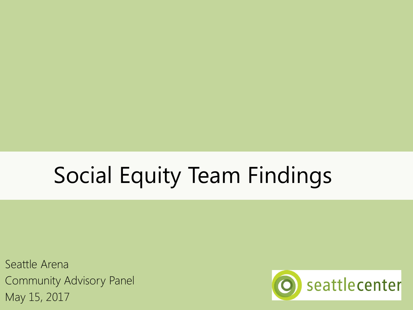# Social Equity Team Findings

Seattle Arena Community Advisory Panel May 15, 2017

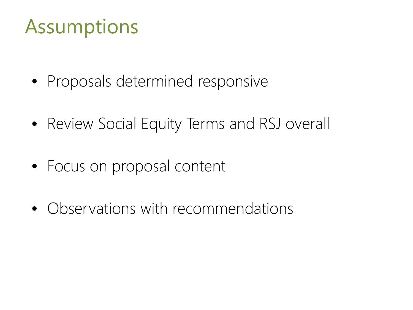### Assumptions

- Proposals determined responsive
- Review Social Equity Terms and RSJ overall
- Focus on proposal content
- Observations with recommendations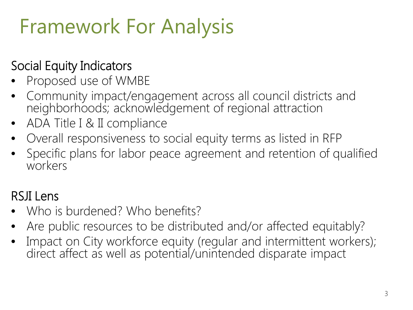## Framework For Analysis

#### Social Equity Indicators

- Proposed use of WMBE
- Community impact/engagement across all council districts and neighborhoods; acknowledgement of regional attraction
- ADA Title I & II compliance
- Overall responsiveness to social equity terms as listed in RFP
- Specific plans for labor peace agreement and retention of qualified workers

#### RSJI Lens

- Who is burdened? Who benefits?
- Are public resources to be distributed and/or affected equitably?
- Impact on City workforce equity (regular and intermittent workers); direct affect as well as potential/unintended disparate impact